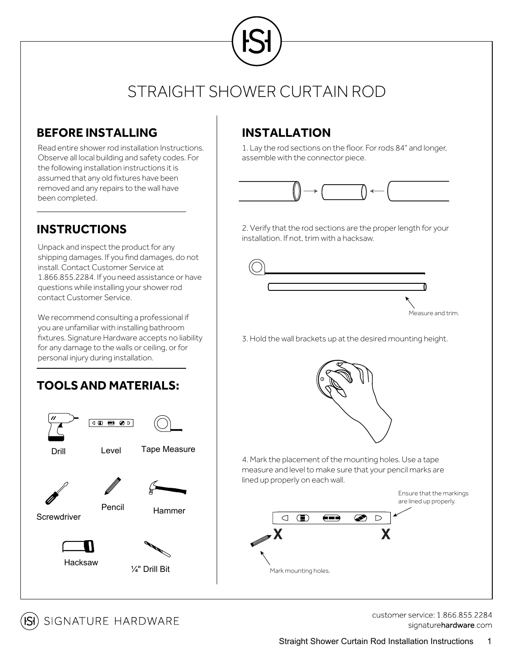# STRAIGHT SHOWER CURTAIN ROD

# **BEFORE INSTALLING INSTALLATION**

Read entire shower rod installation Instructions. Observe all local building and safety codes. For the following installation instructions it is assumed that any old fixtures have been removed and any repairs to the wall have been completed.

## **INSTRUCTIONS**

Unpack and inspect the product for any shipping damages. If you find damages, do not install. Contact Customer Service at 1.866.855.2284. If you need assistance or have questions while installing your shower rod contact Customer Service.

We recommend consulting a professional if you are unfamiliar with installing bathroom fixtures. Signature Hardware accepts no liability for any damage to the walls or ceiling, or for personal injury during installation.

# **TOOLSAND MATERIALS:**



1. Lay the rod sections on the floor. For rods 84" and longer, assemble with the connector piece.



2. Verify that the rod sections are the proper length for your installation. If not, trim with a hacksaw.



3. Hold the wall brackets up at the desired mounting height.



4. Mark the placement of the mounting holes. Use a tape measure and level to make sure that your pencil marks are lined up properly on each wall.





customer service: 1 866 855 2284 signaturehardware com